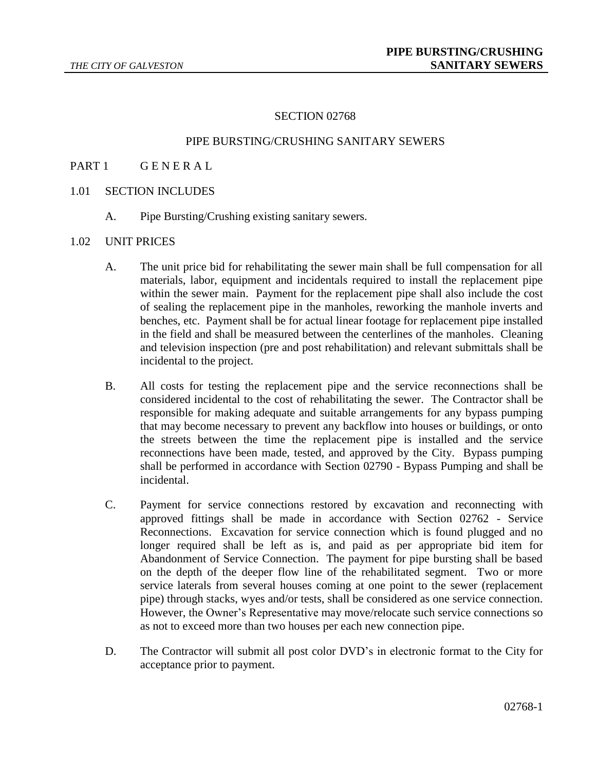#### SECTION 02768

# PIPE BURSTING/CRUSHING SANITARY SEWERS

- PART 1 GENERAL
- 1.01 SECTION INCLUDES
	- A. Pipe Bursting/Crushing existing sanitary sewers.

## 1.02 UNIT PRICES

- A. The unit price bid for rehabilitating the sewer main shall be full compensation for all materials, labor, equipment and incidentals required to install the replacement pipe within the sewer main. Payment for the replacement pipe shall also include the cost of sealing the replacement pipe in the manholes, reworking the manhole inverts and benches, etc. Payment shall be for actual linear footage for replacement pipe installed in the field and shall be measured between the centerlines of the manholes. Cleaning and television inspection (pre and post rehabilitation) and relevant submittals shall be incidental to the project.
- B. All costs for testing the replacement pipe and the service reconnections shall be considered incidental to the cost of rehabilitating the sewer. The Contractor shall be responsible for making adequate and suitable arrangements for any bypass pumping that may become necessary to prevent any backflow into houses or buildings, or onto the streets between the time the replacement pipe is installed and the service reconnections have been made, tested, and approved by the City. Bypass pumping shall be performed in accordance with Section 02790 - Bypass Pumping and shall be incidental.
- C. Payment for service connections restored by excavation and reconnecting with approved fittings shall be made in accordance with Section 02762 - Service Reconnections. Excavation for service connection which is found plugged and no longer required shall be left as is, and paid as per appropriate bid item for Abandonment of Service Connection. The payment for pipe bursting shall be based on the depth of the deeper flow line of the rehabilitated segment. Two or more service laterals from several houses coming at one point to the sewer (replacement pipe) through stacks, wyes and/or tests, shall be considered as one service connection. However, the Owner's Representative may move/relocate such service connections so as not to exceed more than two houses per each new connection pipe.
- D. The Contractor will submit all post color DVD's in electronic format to the City for acceptance prior to payment.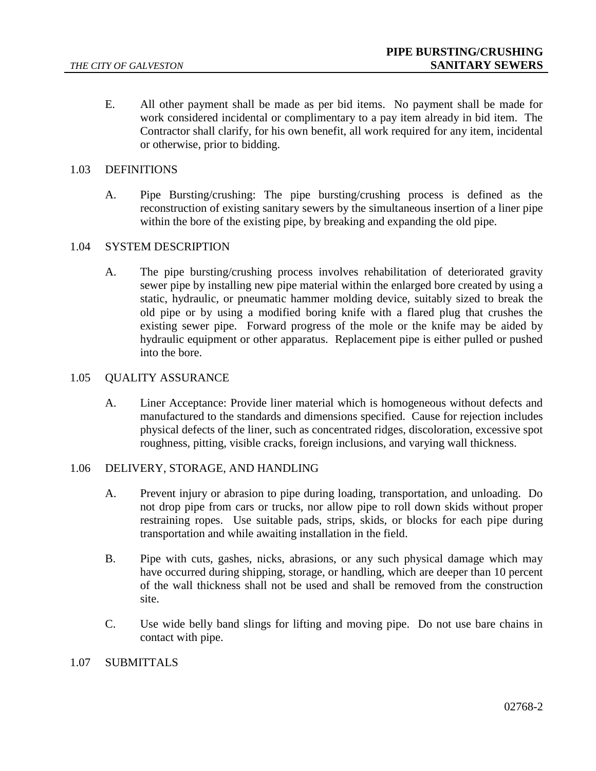E. All other payment shall be made as per bid items. No payment shall be made for work considered incidental or complimentary to a pay item already in bid item. The Contractor shall clarify, for his own benefit, all work required for any item, incidental or otherwise, prior to bidding.

### 1.03 DEFINITIONS

A. Pipe Bursting/crushing: The pipe bursting/crushing process is defined as the reconstruction of existing sanitary sewers by the simultaneous insertion of a liner pipe within the bore of the existing pipe, by breaking and expanding the old pipe.

## 1.04 SYSTEM DESCRIPTION

A. The pipe bursting/crushing process involves rehabilitation of deteriorated gravity sewer pipe by installing new pipe material within the enlarged bore created by using a static, hydraulic, or pneumatic hammer molding device, suitably sized to break the old pipe or by using a modified boring knife with a flared plug that crushes the existing sewer pipe. Forward progress of the mole or the knife may be aided by hydraulic equipment or other apparatus. Replacement pipe is either pulled or pushed into the bore.

#### 1.05 QUALITY ASSURANCE

A. Liner Acceptance: Provide liner material which is homogeneous without defects and manufactured to the standards and dimensions specified. Cause for rejection includes physical defects of the liner, such as concentrated ridges, discoloration, excessive spot roughness, pitting, visible cracks, foreign inclusions, and varying wall thickness.

# 1.06 DELIVERY, STORAGE, AND HANDLING

- A. Prevent injury or abrasion to pipe during loading, transportation, and unloading. Do not drop pipe from cars or trucks, nor allow pipe to roll down skids without proper restraining ropes. Use suitable pads, strips, skids, or blocks for each pipe during transportation and while awaiting installation in the field.
- B. Pipe with cuts, gashes, nicks, abrasions, or any such physical damage which may have occurred during shipping, storage, or handling, which are deeper than 10 percent of the wall thickness shall not be used and shall be removed from the construction site.
- C. Use wide belly band slings for lifting and moving pipe. Do not use bare chains in contact with pipe.

### 1.07 SUBMITTALS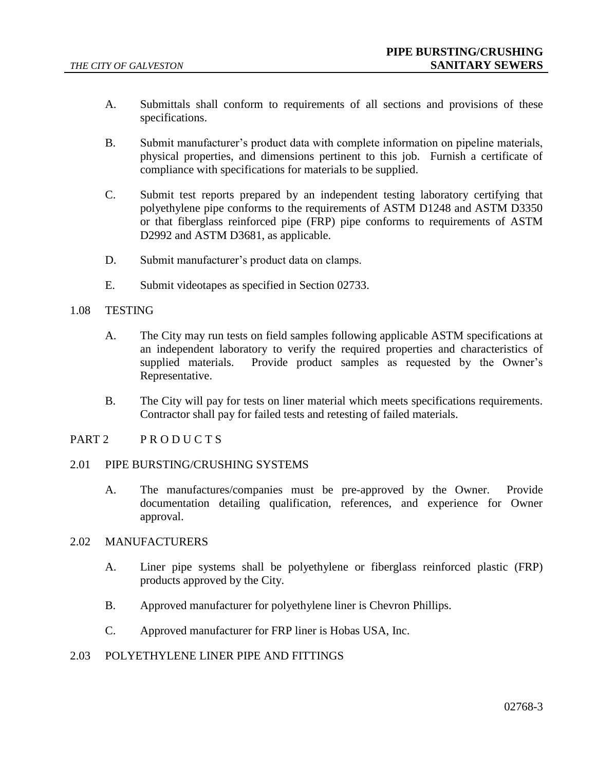- A. Submittals shall conform to requirements of all sections and provisions of these specifications.
- B. Submit manufacturer's product data with complete information on pipeline materials, physical properties, and dimensions pertinent to this job. Furnish a certificate of compliance with specifications for materials to be supplied.
- C. Submit test reports prepared by an independent testing laboratory certifying that polyethylene pipe conforms to the requirements of ASTM D1248 and ASTM D3350 or that fiberglass reinforced pipe (FRP) pipe conforms to requirements of ASTM D2992 and ASTM D3681, as applicable.
- D. Submit manufacturer's product data on clamps.
- E. Submit videotapes as specified in Section 02733.

### 1.08 TESTING

- A. The City may run tests on field samples following applicable ASTM specifications at an independent laboratory to verify the required properties and characteristics of supplied materials. Provide product samples as requested by the Owner's Representative.
- B. The City will pay for tests on liner material which meets specifications requirements. Contractor shall pay for failed tests and retesting of failed materials.

## PART 2 PRODUCTS

#### 2.01 PIPE BURSTING/CRUSHING SYSTEMS

A. The manufactures/companies must be pre-approved by the Owner. Provide documentation detailing qualification, references, and experience for Owner approval.

### 2.02 MANUFACTURERS

- A. Liner pipe systems shall be polyethylene or fiberglass reinforced plastic (FRP) products approved by the City.
- B. Approved manufacturer for polyethylene liner is Chevron Phillips.
- C. Approved manufacturer for FRP liner is Hobas USA, Inc.

# 2.03 POLYETHYLENE LINER PIPE AND FITTINGS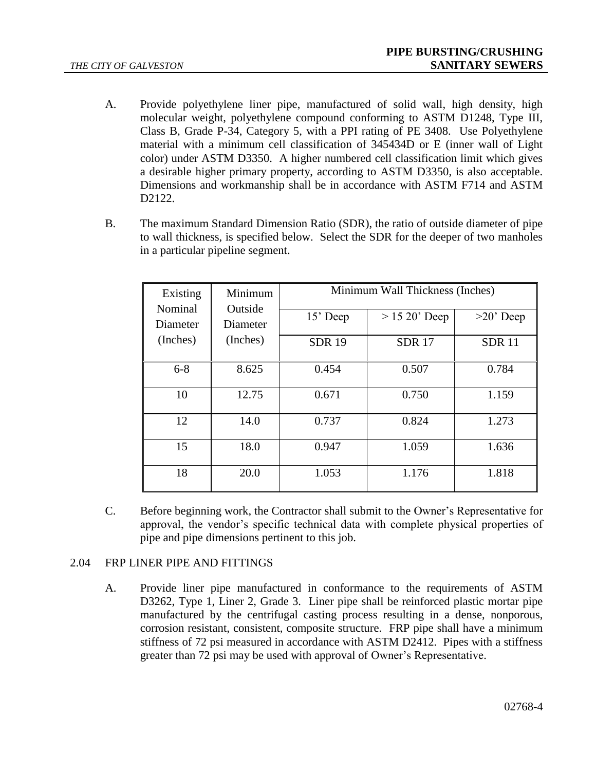- A. Provide polyethylene liner pipe, manufactured of solid wall, high density, high molecular weight, polyethylene compound conforming to ASTM D1248, Type III, Class B, Grade P-34, Category 5, with a PPI rating of PE 3408. Use Polyethylene material with a minimum cell classification of 345434D or E (inner wall of Light color) under ASTM D3350. A higher numbered cell classification limit which gives a desirable higher primary property, according to ASTM D3350, is also acceptable. Dimensions and workmanship shall be in accordance with ASTM F714 and ASTM D<sub>2</sub>12<sub>2</sub>.
- B. The maximum Standard Dimension Ratio (SDR), the ratio of outside diameter of pipe to wall thickness, is specified below. Select the SDR for the deeper of two manholes in a particular pipeline segment.

| Existing<br>Nominal  | Minimum<br>Outside |              | Minimum Wall Thickness (Inches) |              |
|----------------------|--------------------|--------------|---------------------------------|--------------|
| Diameter             | Diameter           | 15' Deep     | $> 15 20$ ' Deep                | $>20$ ' Deep |
| (Inches)<br>(Inches) | <b>SDR 19</b>      | <b>SDR17</b> | <b>SDR11</b>                    |              |
| $6 - 8$              | 8.625              | 0.454        | 0.507                           | 0.784        |
| 10                   | 12.75              | 0.671        | 0.750                           | 1.159        |
| 12                   | 14.0               | 0.737        | 0.824                           | 1.273        |
| 15                   | 18.0               | 0.947        | 1.059                           | 1.636        |
| 18                   | 20.0               | 1.053        | 1.176                           | 1.818        |

C. Before beginning work, the Contractor shall submit to the Owner's Representative for approval, the vendor's specific technical data with complete physical properties of pipe and pipe dimensions pertinent to this job.

# 2.04 FRP LINER PIPE AND FITTINGS

A. Provide liner pipe manufactured in conformance to the requirements of ASTM D3262, Type 1, Liner 2, Grade 3. Liner pipe shall be reinforced plastic mortar pipe manufactured by the centrifugal casting process resulting in a dense, nonporous, corrosion resistant, consistent, composite structure. FRP pipe shall have a minimum stiffness of 72 psi measured in accordance with ASTM D2412. Pipes with a stiffness greater than 72 psi may be used with approval of Owner's Representative.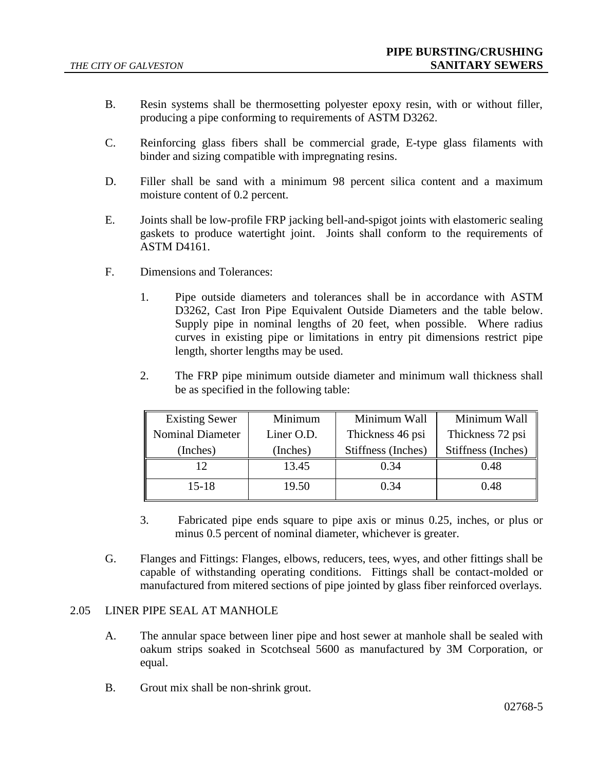- B. Resin systems shall be thermosetting polyester epoxy resin, with or without filler, producing a pipe conforming to requirements of ASTM D3262.
- C. Reinforcing glass fibers shall be commercial grade, E-type glass filaments with binder and sizing compatible with impregnating resins.
- D. Filler shall be sand with a minimum 98 percent silica content and a maximum moisture content of 0.2 percent.
- E. Joints shall be low-profile FRP jacking bell-and-spigot joints with elastomeric sealing gaskets to produce watertight joint. Joints shall conform to the requirements of ASTM D4161.
- F. Dimensions and Tolerances:
	- 1. Pipe outside diameters and tolerances shall be in accordance with ASTM D3262, Cast Iron Pipe Equivalent Outside Diameters and the table below. Supply pipe in nominal lengths of 20 feet, when possible. Where radius curves in existing pipe or limitations in entry pit dimensions restrict pipe length, shorter lengths may be used.
	- 2. The FRP pipe minimum outside diameter and minimum wall thickness shall be as specified in the following table:

| <b>Existing Sewer</b>   | Minimum    | Minimum Wall       | Minimum Wall       |
|-------------------------|------------|--------------------|--------------------|
| <b>Nominal Diameter</b> | Liner O.D. | Thickness 46 psi   | Thickness 72 psi   |
| (Inches)                | (Inches)   | Stiffness (Inches) | Stiffness (Inches) |
| 12                      | 13.45      | 0.34               | 0.48               |
| $15 - 18$               | 19.50      | 0.34               | 0.48               |

- 3. Fabricated pipe ends square to pipe axis or minus 0.25, inches, or plus or minus 0.5 percent of nominal diameter, whichever is greater.
- G. Flanges and Fittings: Flanges, elbows, reducers, tees, wyes, and other fittings shall be capable of withstanding operating conditions. Fittings shall be contact-molded or manufactured from mitered sections of pipe jointed by glass fiber reinforced overlays.

# 2.05 LINER PIPE SEAL AT MANHOLE

- A. The annular space between liner pipe and host sewer at manhole shall be sealed with oakum strips soaked in Scotchseal 5600 as manufactured by 3M Corporation, or equal.
- B. Grout mix shall be non-shrink grout.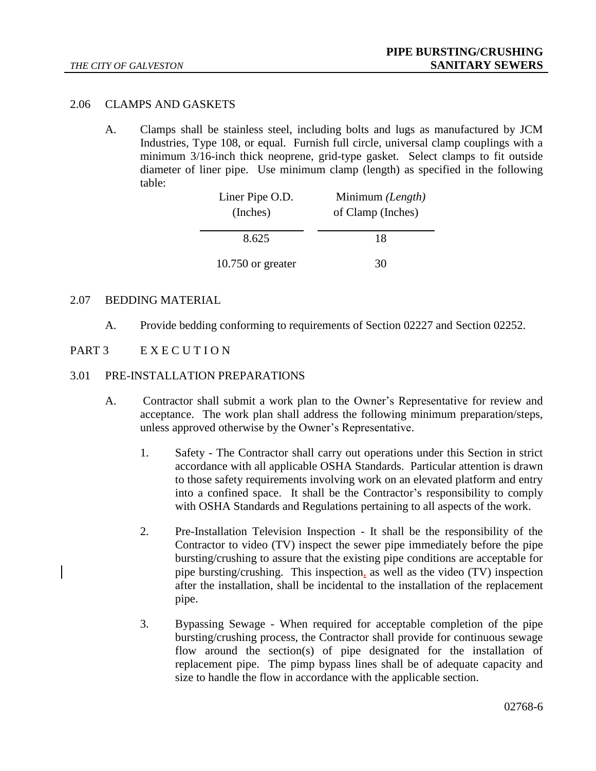## 2.06 CLAMPS AND GASKETS

A. Clamps shall be stainless steel, including bolts and lugs as manufactured by JCM Industries, Type 108, or equal. Furnish full circle, universal clamp couplings with a minimum 3/16-inch thick neoprene, grid-type gasket. Select clamps to fit outside diameter of liner pipe. Use minimum clamp (length) as specified in the following table:

| Liner Pipe O.D.     | Minimum (Length)  |
|---------------------|-------------------|
| (Inches)            | of Clamp (Inches) |
|                     |                   |
| 8.625               | 18                |
|                     |                   |
| $10.750$ or greater | 30                |

## 2.07 BEDDING MATERIAL

A. Provide bedding conforming to requirements of Section 02227 and Section 02252.

# PART 3 E X E C U T I O N

#### 3.01 PRE-INSTALLATION PREPARATIONS

- A. Contractor shall submit a work plan to the Owner's Representative for review and acceptance. The work plan shall address the following minimum preparation/steps, unless approved otherwise by the Owner's Representative.
	- 1. Safety The Contractor shall carry out operations under this Section in strict accordance with all applicable OSHA Standards. Particular attention is drawn to those safety requirements involving work on an elevated platform and entry into a confined space. It shall be the Contractor's responsibility to comply with OSHA Standards and Regulations pertaining to all aspects of the work.
	- 2. Pre-Installation Television Inspection It shall be the responsibility of the Contractor to video (TV) inspect the sewer pipe immediately before the pipe bursting/crushing to assure that the existing pipe conditions are acceptable for pipe bursting/crushing. This inspection, as well as the video (TV) inspection after the installation, shall be incidental to the installation of the replacement pipe.
	- 3. Bypassing Sewage When required for acceptable completion of the pipe bursting/crushing process, the Contractor shall provide for continuous sewage flow around the section(s) of pipe designated for the installation of replacement pipe. The pimp bypass lines shall be of adequate capacity and size to handle the flow in accordance with the applicable section.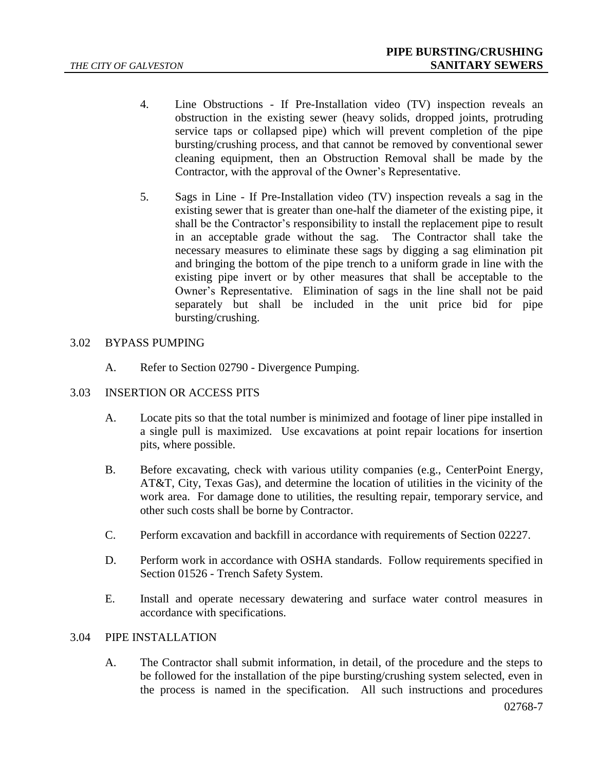- 4. Line Obstructions If Pre-Installation video (TV) inspection reveals an obstruction in the existing sewer (heavy solids, dropped joints, protruding service taps or collapsed pipe) which will prevent completion of the pipe bursting/crushing process, and that cannot be removed by conventional sewer cleaning equipment, then an Obstruction Removal shall be made by the Contractor, with the approval of the Owner's Representative.
- 5. Sags in Line If Pre-Installation video (TV) inspection reveals a sag in the existing sewer that is greater than one-half the diameter of the existing pipe, it shall be the Contractor's responsibility to install the replacement pipe to result in an acceptable grade without the sag. The Contractor shall take the necessary measures to eliminate these sags by digging a sag elimination pit and bringing the bottom of the pipe trench to a uniform grade in line with the existing pipe invert or by other measures that shall be acceptable to the Owner's Representative. Elimination of sags in the line shall not be paid separately but shall be included in the unit price bid for pipe bursting/crushing.

# 3.02 BYPASS PUMPING

- A. Refer to Section 02790 Divergence Pumping.
- 3.03 INSERTION OR ACCESS PITS
	- A. Locate pits so that the total number is minimized and footage of liner pipe installed in a single pull is maximized. Use excavations at point repair locations for insertion pits, where possible.
	- B. Before excavating, check with various utility companies (e.g., CenterPoint Energy, AT&T, City, Texas Gas), and determine the location of utilities in the vicinity of the work area. For damage done to utilities, the resulting repair, temporary service, and other such costs shall be borne by Contractor.
	- C. Perform excavation and backfill in accordance with requirements of Section 02227.
	- D. Perform work in accordance with OSHA standards. Follow requirements specified in Section 01526 - Trench Safety System.
	- E. Install and operate necessary dewatering and surface water control measures in accordance with specifications.

# 3.04 PIPE INSTALLATION

A. The Contractor shall submit information, in detail, of the procedure and the steps to be followed for the installation of the pipe bursting/crushing system selected, even in the process is named in the specification. All such instructions and procedures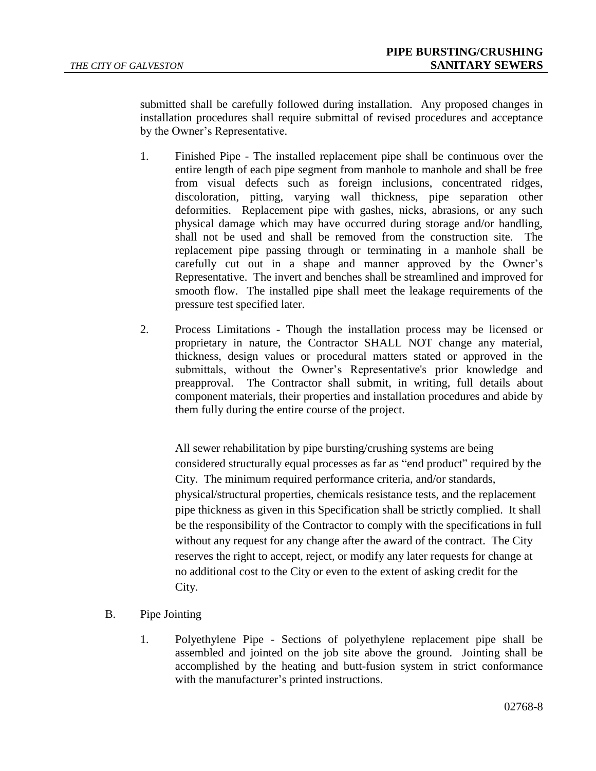submitted shall be carefully followed during installation. Any proposed changes in installation procedures shall require submittal of revised procedures and acceptance by the Owner's Representative.

- 1. Finished Pipe The installed replacement pipe shall be continuous over the entire length of each pipe segment from manhole to manhole and shall be free from visual defects such as foreign inclusions, concentrated ridges, discoloration, pitting, varying wall thickness, pipe separation other deformities. Replacement pipe with gashes, nicks, abrasions, or any such physical damage which may have occurred during storage and/or handling, shall not be used and shall be removed from the construction site. The replacement pipe passing through or terminating in a manhole shall be carefully cut out in a shape and manner approved by the Owner's Representative. The invert and benches shall be streamlined and improved for smooth flow. The installed pipe shall meet the leakage requirements of the pressure test specified later.
- 2. Process Limitations Though the installation process may be licensed or proprietary in nature, the Contractor SHALL NOT change any material, thickness, design values or procedural matters stated or approved in the submittals, without the Owner's Representative's prior knowledge and preapproval. The Contractor shall submit, in writing, full details about component materials, their properties and installation procedures and abide by them fully during the entire course of the project.

All sewer rehabilitation by pipe bursting/crushing systems are being considered structurally equal processes as far as "end product" required by the City. The minimum required performance criteria, and/or standards, physical/structural properties, chemicals resistance tests, and the replacement pipe thickness as given in this Specification shall be strictly complied. It shall be the responsibility of the Contractor to comply with the specifications in full without any request for any change after the award of the contract. The City reserves the right to accept, reject, or modify any later requests for change at no additional cost to the City or even to the extent of asking credit for the City.

- B. Pipe Jointing
	- 1. Polyethylene Pipe Sections of polyethylene replacement pipe shall be assembled and jointed on the job site above the ground. Jointing shall be accomplished by the heating and butt-fusion system in strict conformance with the manufacturer's printed instructions.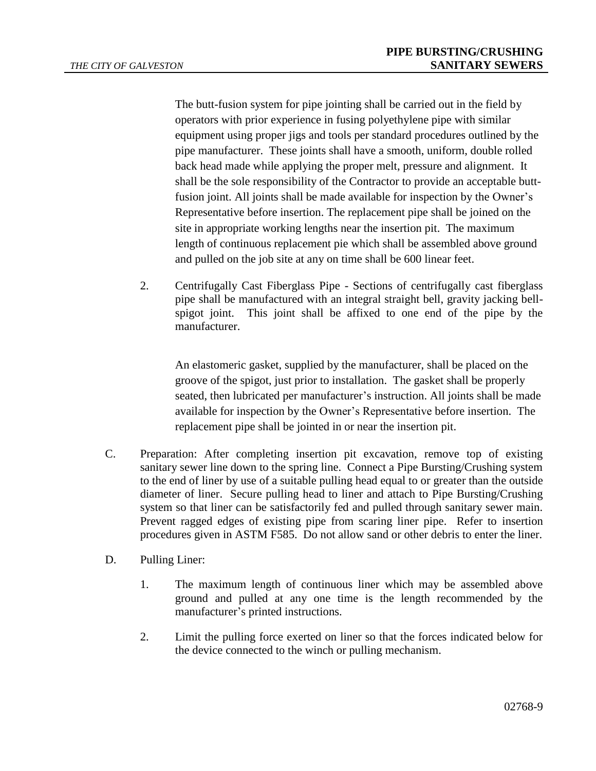The butt-fusion system for pipe jointing shall be carried out in the field by operators with prior experience in fusing polyethylene pipe with similar equipment using proper jigs and tools per standard procedures outlined by the pipe manufacturer. These joints shall have a smooth, uniform, double rolled back head made while applying the proper melt, pressure and alignment. It shall be the sole responsibility of the Contractor to provide an acceptable buttfusion joint. All joints shall be made available for inspection by the Owner's Representative before insertion. The replacement pipe shall be joined on the site in appropriate working lengths near the insertion pit. The maximum length of continuous replacement pie which shall be assembled above ground and pulled on the job site at any on time shall be 600 linear feet.

2. Centrifugally Cast Fiberglass Pipe - Sections of centrifugally cast fiberglass pipe shall be manufactured with an integral straight bell, gravity jacking bellspigot joint. This joint shall be affixed to one end of the pipe by the manufacturer.

An elastomeric gasket, supplied by the manufacturer, shall be placed on the groove of the spigot, just prior to installation. The gasket shall be properly seated, then lubricated per manufacturer's instruction. All joints shall be made available for inspection by the Owner's Representative before insertion. The replacement pipe shall be jointed in or near the insertion pit.

- C. Preparation: After completing insertion pit excavation, remove top of existing sanitary sewer line down to the spring line. Connect a Pipe Bursting/Crushing system to the end of liner by use of a suitable pulling head equal to or greater than the outside diameter of liner. Secure pulling head to liner and attach to Pipe Bursting/Crushing system so that liner can be satisfactorily fed and pulled through sanitary sewer main. Prevent ragged edges of existing pipe from scaring liner pipe. Refer to insertion procedures given in ASTM F585. Do not allow sand or other debris to enter the liner.
- D. Pulling Liner:
	- 1. The maximum length of continuous liner which may be assembled above ground and pulled at any one time is the length recommended by the manufacturer's printed instructions.
	- 2. Limit the pulling force exerted on liner so that the forces indicated below for the device connected to the winch or pulling mechanism.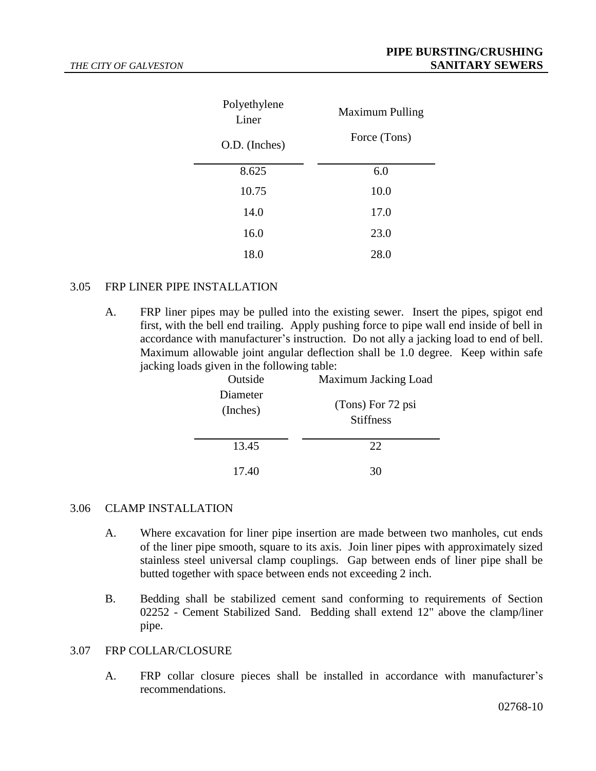| Polyethylene<br>Liner | <b>Maximum Pulling</b> |  |
|-----------------------|------------------------|--|
| O.D. (Inches)         | Force (Tons)           |  |
| 8.625                 | 6.0                    |  |
| 10.75                 | 10.0                   |  |
| 14.0                  | 17.0                   |  |
| 16.0                  | 23.0                   |  |
| 18.0                  | 28.0                   |  |

#### 3.05 FRP LINER PIPE INSTALLATION

A. FRP liner pipes may be pulled into the existing sewer. Insert the pipes, spigot end first, with the bell end trailing. Apply pushing force to pipe wall end inside of bell in accordance with manufacturer's instruction. Do not ally a jacking load to end of bell. Maximum allowable joint angular deflection shall be 1.0 degree. Keep within safe jacking loads given in the following table:

| Outside<br>Diameter<br>(Inches) | Maximum Jacking Load<br>(Tons) For 72 psi<br><b>Stiffness</b> |
|---------------------------------|---------------------------------------------------------------|
| 13.45                           | 22.                                                           |
| 17.40                           |                                                               |

#### 3.06 CLAMP INSTALLATION

- A. Where excavation for liner pipe insertion are made between two manholes, cut ends of the liner pipe smooth, square to its axis. Join liner pipes with approximately sized stainless steel universal clamp couplings. Gap between ends of liner pipe shall be butted together with space between ends not exceeding 2 inch.
- B. Bedding shall be stabilized cement sand conforming to requirements of Section 02252 - Cement Stabilized Sand. Bedding shall extend 12" above the clamp/liner pipe.

#### 3.07 FRP COLLAR/CLOSURE

A. FRP collar closure pieces shall be installed in accordance with manufacturer's recommendations.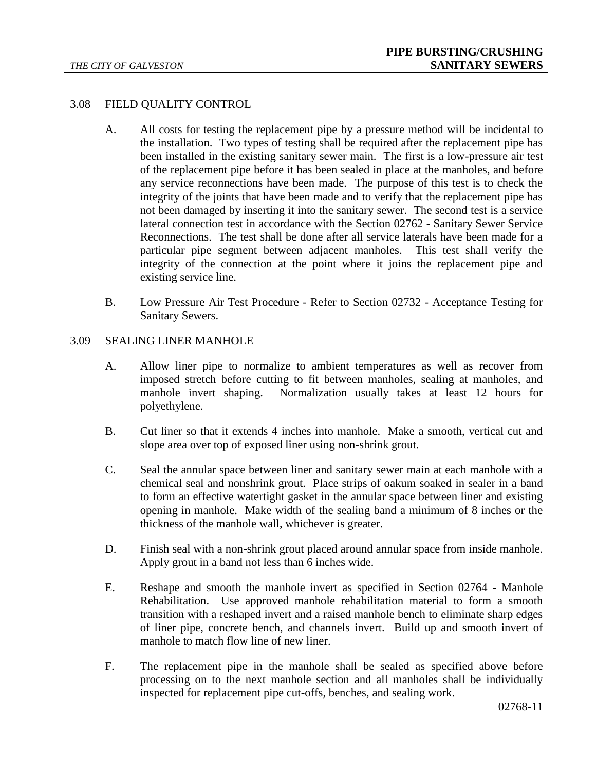# 3.08 FIELD QUALITY CONTROL

- A. All costs for testing the replacement pipe by a pressure method will be incidental to the installation. Two types of testing shall be required after the replacement pipe has been installed in the existing sanitary sewer main. The first is a low-pressure air test of the replacement pipe before it has been sealed in place at the manholes, and before any service reconnections have been made. The purpose of this test is to check the integrity of the joints that have been made and to verify that the replacement pipe has not been damaged by inserting it into the sanitary sewer. The second test is a service lateral connection test in accordance with the Section 02762 - Sanitary Sewer Service Reconnections. The test shall be done after all service laterals have been made for a particular pipe segment between adjacent manholes. This test shall verify the integrity of the connection at the point where it joins the replacement pipe and existing service line.
- B. Low Pressure Air Test Procedure Refer to Section 02732 Acceptance Testing for Sanitary Sewers.

## 3.09 SEALING LINER MANHOLE

- A. Allow liner pipe to normalize to ambient temperatures as well as recover from imposed stretch before cutting to fit between manholes, sealing at manholes, and manhole invert shaping. Normalization usually takes at least 12 hours for polyethylene.
- B. Cut liner so that it extends 4 inches into manhole. Make a smooth, vertical cut and slope area over top of exposed liner using non-shrink grout.
- C. Seal the annular space between liner and sanitary sewer main at each manhole with a chemical seal and nonshrink grout. Place strips of oakum soaked in sealer in a band to form an effective watertight gasket in the annular space between liner and existing opening in manhole. Make width of the sealing band a minimum of 8 inches or the thickness of the manhole wall, whichever is greater.
- D. Finish seal with a non-shrink grout placed around annular space from inside manhole. Apply grout in a band not less than 6 inches wide.
- E. Reshape and smooth the manhole invert as specified in Section 02764 Manhole Rehabilitation. Use approved manhole rehabilitation material to form a smooth transition with a reshaped invert and a raised manhole bench to eliminate sharp edges of liner pipe, concrete bench, and channels invert. Build up and smooth invert of manhole to match flow line of new liner.
- F. The replacement pipe in the manhole shall be sealed as specified above before processing on to the next manhole section and all manholes shall be individually inspected for replacement pipe cut-offs, benches, and sealing work.